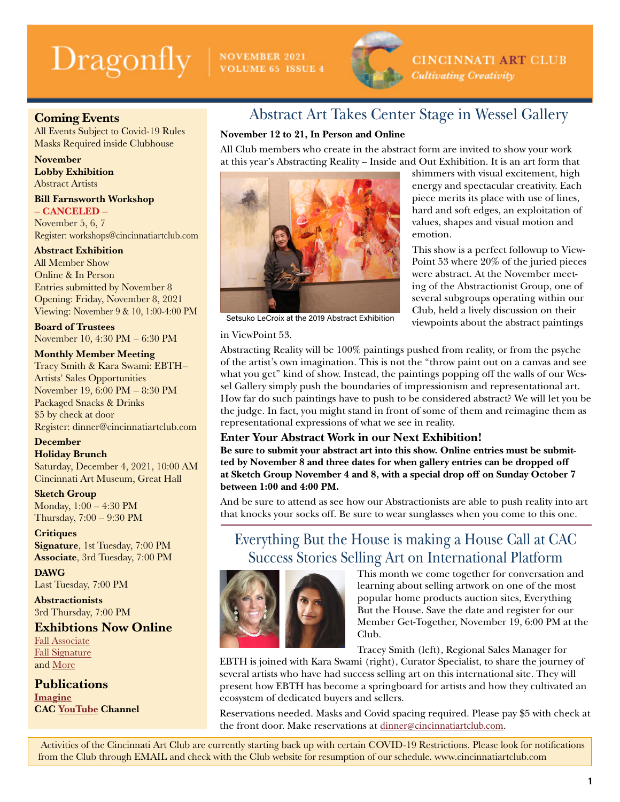# $\text{Dragonfly}$   $\vert$  NOVEMBER 2021



**CINCINNATI ART CLUB Cultivating Creativity** 

#### Coming Events

All Events Subject to Covid-19 Rules Masks Required inside Clubhouse

November Lobby Exhibition Abstract Artists

### Bill Farnsworth Workshop

– CANCELED – November 5, 6, 7 Register: workshops@cincinnatiartclub.com

#### Abstract Exhibition

All Member Show Online & In Person Entries submitted by November 8 Opening: Friday, November 8, 2021 Viewing: November 9 & 10, 1:00-4:00 PM

Board of Trustees November 10, 4:30 PM – 6:30 PM

#### Monthly Member Meeting

Tracy Smith & Kara Swami: EBTH– Artists' Sales Opportunities November 19, 6:00 PM – 8:30 PM Packaged Snacks & Drinks \$5 by check at door Register: dinner@cincinnatiartclub.com

### December

Holiday Brunch

Saturday, December 4, 2021, 10:00 AM Cincinnati Art Museum, Great Hall

#### Sketch Group

Monday, 1:00 – 4:30 PM Thursday, 7:00 – 9:30 PM

#### **Critiques**

Signature, 1st Tuesday, 7:00 PM Associate, 3rd Tuesday, 7:00 PM

DAWG Last Tuesday, 7:00 PM

Abstractionists 3rd Thursday, 7:00 PM

### Exhibtions Now Online

[Fall Associate](https://cincinnatiartclub.org/2021-fall-associate-exhibition/) [Fall Signature](https://cincinnatiartclub.org/signature-exhibition-fall-2021/) and [More](http://www.cincinnatiartclub.com/index.html)

Publications [Imagine](https://cincinnatiartclub.org/community/imagine-magazine/) CAC [YouTube](https://www.youtube.com/channel/UCUfJGPsIhKnIrCSoALXW2LA) Channel

# Abstract Art Takes Center Stage in Wessel Gallery

#### **November 12 to 21, In Person and Online**

All Club members who create in the abstract form are invited to show your work at this year's Abstracting Reality – Inside and Out Exhibition. It is an art form that



shimmers with visual excitement, high energy and spectacular creativity. Each piece merits its place with use of lines, hard and soft edges, an exploitation of values, shapes and visual motion and emotion.

This show is a perfect followup to View-Point 53 where 20% of the juried pieces were abstract. At the November meeting of the Abstractionist Group, one of several subgroups operating within our Club, held a lively discussion on their viewpoints about the abstract paintings

Setsuko LeCroix at the 2019 Abstract Exhibition

in ViewPoint 53.

Abstracting Reality will be 100% paintings pushed from reality, or from the psyche of the artist's own imagination. This is not the "throw paint out on a canvas and see what you get" kind of show. Instead, the paintings popping off the walls of our Wessel Gallery simply push the boundaries of impressionism and representational art. How far do such paintings have to push to be considered abstract? We will let you be the judge. In fact, you might stand in front of some of them and reimagine them as representational expressions of what we see in reality.

### **Enter Your Abstract Work in our Next Exhibition!**

**Be sure to submit your abstract art into this show. Online entries must be submitted by November 8 and three dates for when gallery entries can be dropped off at Sketch Group November 4 and 8, with a special drop off on Sunday October 7 between 1:00 and 4:00 PM.**

And be sure to attend as see how our Abstractionists are able to push reality into art that knocks your socks off. Be sure to wear sunglasses when you come to this one.

# Everything But the House is making a House Call at CAC Success Stories Selling Art on International Platform



This month we come together for conversation and learning about selling artwork on one of the most popular home products auction sites, Everything But the House. Save the date and register for our Member Get-Together, November 19, 6:00 PM at the Club.

Tracey Smith (left), Regional Sales Manager for

EBTH is joined with Kara Swami (right), Curator Specialist, to share the journey of several artists who have had success selling art on this international site. They will present how EBTH has become a springboard for artists and how they cultivated an ecosystem of dedicated buyers and sellers.

Reservations needed. Masks and Covid spacing required. Please pay \$5 with check at the front door. Make reservations at [dinner@cincinnatiartclub.com](mailto:dinner%40cincinnatiartclub.com?subject=).

 Activities of the Cincinnati Art Club are currently starting back up with certain COVID-19 Restrictions. Please look for notifications from the Club through EMAIL and check with the Club website for resumption of our schedule. www.cincinnatiartclub.com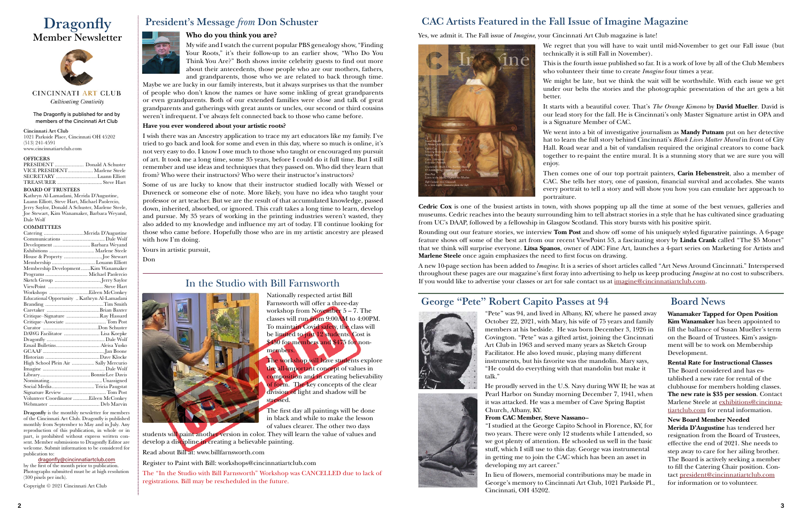#### The Dragonfly is published for and by members of the Cincinnati Art Club

Cincinnati Art Club 1021 Parkside Place, Cincinnati OH 45202 (513) 241-4591 www.cincinnatiartclub.com

#### **OFFICERS**

| VICE PRESIDENT Marlene Steele |  |
|-------------------------------|--|
|                               |  |
|                               |  |

#### BOARD OF TRUSTEES

Kathryn Al-Lamadani, Merida D'Augustine, Luann Elliott, Steve Hart, Michael Paolercio, Jerry Saylor, Donald A Schuster, Marlene Steele, Joe Stewart, Kim Wanamaker, Barbara Weyand, Dale Wolf

#### **COMMITTEES**

# **Dragonfly** Member Newsletter



CINCINNATI ART CLUB **Cultivating Creativity** 

| Catering Merida D'Augustine                  |                              |
|----------------------------------------------|------------------------------|
|                                              |                              |
| Development  Barbara Weyand                  |                              |
|                                              |                              |
|                                              | House & Property Joe Stewart |
|                                              | Membership Louann Elliott    |
| Membership DevelopmentKim Wanamaker          |                              |
| Programs  Michael Paolercio                  |                              |
|                                              |                              |
|                                              |                              |
|                                              |                              |
| Educational Opportunity  Kathryn Al-Lamadani |                              |
|                                              |                              |
|                                              |                              |
| Critique-Signature Ray Hassard               |                              |
| Critique-Associate  Tom Post                 |                              |
|                                              |                              |
| DAWG Facilitator  Lisa Koepke                |                              |
|                                              |                              |
| Email Bulletins Aleisa Yusko                 |                              |
|                                              |                              |
|                                              |                              |
| High School Plein Air  Sally Mercurio        |                              |
|                                              |                              |
|                                              |                              |
|                                              |                              |
|                                              | Social Media Tricia Paugstat |
|                                              |                              |
| Volunteer Coordinator Eileen McConkey        |                              |
|                                              |                              |
|                                              |                              |

Dragonfly is the monthly newsletter for members of the Cincinnati Art Club. Dragonfly is published monthly from September to May and in July. Any reproduction of this publication, in whole or in part, is prohibited without express written consent. Member submissions to Dragonfly Editor are welcome. Submit information to be considered for publication to:

The workshop will have students explore the all-important concept of values in composition and in creating believability of form. The key concepts of the clear division of light and shadow will be stressed.

#### [dragonfly@cincinnatiartclub.com](mailto:dragonfly%40cincinnatiartclub.com?subject=dragonfly%40cincinnatiartclub.com)

by the first of the month prior to publication. Photographs submitted must be at high resolution (300 pixels per inch).

Copyright © 2021 Cincinnati Art Club



President's Message *from* Don Schuster

#### **Who do you think you are?**



Maybe we are lucky in our family interests, but it always surprises us that the number of people who don't know the names or have some inkling of great grandparents or even grandparents. Both of our extended families were close and talk of great grandparents and gatherings with great aunts or uncles, our second or third cousins weren't infrequent. I've always felt connected back to those who came before.

#### **Have you ever wondered about your artistic roots?**

I wish there was an Ancestry application to trace my art educators like my family. I've tried to go back and look for some and even in this day, where so much is online, it's not very easy to do. I know I owe much to those who taught or encouraged my pursuit of art. It took me a long time, some 35 years, before I could do it full time. But I still remember and use ideas and techniques that they passed on. Who did they learn that from? Who were their instructors? Who were their instructor's instructors?

Some of us are lucky to know that their instructor studied locally with Wessel or Duveneck or someone else of note. More likely, you have no idea who taught your professor or art teacher. But we are the result of that accumulated knowledge, passed down, inherited, absorbed, or ignored. This craft takes a long time to learn, develop and pursue. My 35 years of working in the printing industries weren't wasted, they also added to my knowledge and influence my art of today. I'll continue looking for those who came before. Hopefully those who are in my artistic ancestry are pleased with how I'm doing.

Yours in artistic pursuit,

Don

Nationally respected artist Bill Farnsworth will offer a three-day workshop from November 5 – 7. The classes will run from 9:00AM to 4:00PM. To maintain Covid safety, the class will be limited to just 12 students. Cost is \$450 for members and \$475 for nonmembers.

The first day all paintings will be done in black and while to make the lesson of values clearer. The other two days

students will paint another version in color. They will learn the value of values and develop a discipline in creating a believable painting.

Read about Bill at: www.billfarnsworth.com

Register to Paint with Bill: workshops@cincinnatiartclub.com

The "In the Studio with Bill Farnsworth" Workshop was CANCELLED due to lack of registrations. Bill may be rescheduled in the future.



Yes, we admit it. The Fall issue of *Imagine*, your Cincinnati Art Club magazine is late!



We regret that you will have to wait until mid-November to get our Fall issue (but technically it is still Fall in November).

This is the fourth issue published so far. It is a work of love by all of the Club Members who volunteer their time to create *Imagine* four times a year.

We might be late, but we think the wait will be worthwhile. With each issue we get under our belts the stories and the photographic presentation of the art gets a bit

better.

It starts with a beautiful cover. That's *The Orange Kimono* by **David Mueller**. David is our lead story for the fall. He is Cincinnati's only Master Signature artist in OPA and is a Signature Member of CAC.

We went into a bit of investigative journalism as **Mandy Putnam** put on her detective hat to learn the full story behind Cincinnati's *Black Lives Matter Mural* in front of City Hall. Road wear and a bit of vandalism required the original creators to come back together to re-paint the entire mural. It is a stunning story that we are sure you will enjoy.

Then comes one of our top portrait painters, **Carin Hebenstreit**, also a member of CAC. She tells her story, one of passion, financial survival and accolades. She wants every portrait to tell a story and will show you how you can emulate her approach to portraiture.

**Cedric Cox** is one of the busiest artists in town, with shows popping up all the time at some of the best venues, galleries and museums. Cedric reaches into the beauty surrounding him to tell abstract stories in a style that he has cultivated since graduating from UC's DAAP, followed by a fellowship in Glasgow Scotland. This story bursts with his positive spirit.

Rounding out our feature stories, we interview **Tom Post** and show off some of his uniquely styled figurative paintings. A 6-page feature shows off some of the best art from our recent ViewPoint 53, a fascinating story by **Linda Crank** called "The \$5 Monet" that we think will surprise everyone. **Litsa Spanos**, owner of ADC Fine Art, launches a 4-part series on Marketing for Artists and **Marlene Steele** once again emphasizes the need to first focus on drawing.

A new 10-page section has been added to *Imagine*. It is a series of short articles called "Art News Around Cincinnati." Interspersed throughout these pages are our magazine's first foray into advertising to help us keep producing *Imagine* at no cost to subscribers. If you would like to advertise your classes or art for sale contact us at [imagine@cincinnatiartclub.com](mailto:imagine%40cincinnatiartclub.com?subject=imagine%40cincinnatiartclub.com).

### CAC Artists Featured in the Fall Issue of Imagine Magazine

### Board News

**Wanamaker Tapped for Open Position Kim Wanamaker** has been appointed to fill the ballance of Susan Mueller's term on the Board of Trustees. Kim's assignment will be to work on Membership Development.

**Rental Rate for Instructional Classes** The Board considered and has established a new rate for rental of the clubhouse for members holding classes. **The new rate is \$35 per session**. Contact Marlene Steele at [exhibitions@cincinna](mailto:exhibitions%40cincinnatiartclub.com?subject=exhibitions%40cincinnatiartclub.com)[tiartclub.com](mailto:exhibitions%40cincinnatiartclub.com?subject=exhibitions%40cincinnatiartclub.com) for rental information.

**New Board Member Needed Merida D'Augustine** has tendered her resignation from the Board of Trustees, effective the end of 2021. She needs to step away to care for her ailing brother. The Board is actively seeking a member to fill the Catering Chair position. Contact [president@cincinnatiartclub.com](mailto:president%40cincinnatiartclub.com?subject=president%40cincinnatiartclub.com) for information or to volunteer.

"Pete" was 94, and lived in Albany, KY, where he passed away October 22, 2021, with Mary, his wife of 75 years and family members at his bedside. He was born December 3, 1926 in Covington. "Pete" was a gifted artist, joining the Cincinnati Art Club in 1963 and served many years as Sketch Group Facilitator. He also loved music, playing many different instruments, but his favorite was the mandolin. Mary says, "He could do everything with that mandolin but make it talk."

He proudly served in the U.S. Navy during WW II; he was at Pearl Harbor on Sunday morning December 7, 1941, when it was attacked. He was a member of Cave Spring Baptist Church, Albany, KY.

**From CAC Member, Steve Nassano–**

"I studied at the George Capito School in Florence, KY, for two years. There were only 12 students while I attended, so we got plenty of attention. He schooled us well in the basic stuff, which I still use to this day. George was instrumental in getting me to join the CAC which has been an asset in developing my art career."

In lieu of flowers, memorial contributions may be made in George's memory to Cincinnati Art Club, 1021 Parkside Pl., Cincinnati, OH 45202.

## George "Pete" Robert Capito Passes at 94